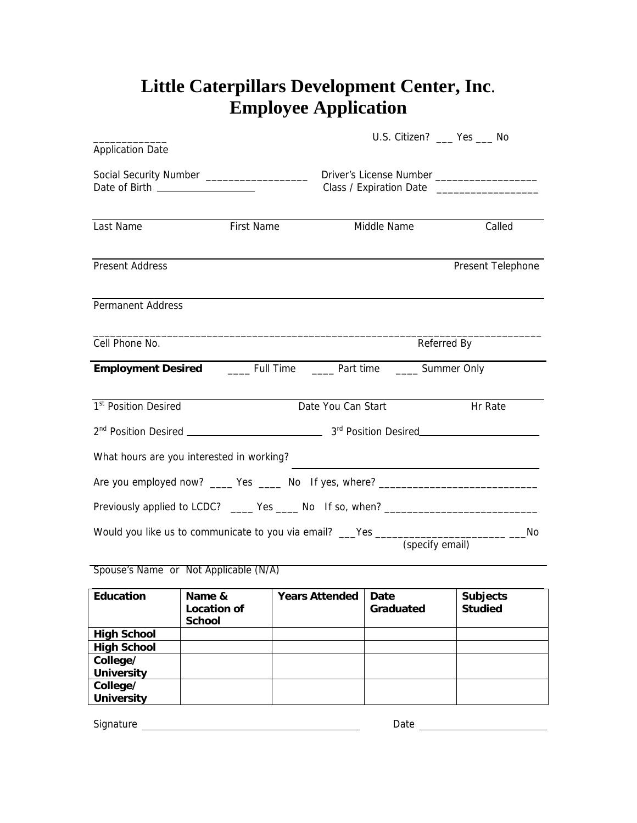## **Little Caterpillars Development Center, Inc**. **Employee Application**

| <b>Application Date</b>                                                           |                       |                       | U.S. Citizen? __ Yes __ No |                                                                                                                      |
|-----------------------------------------------------------------------------------|-----------------------|-----------------------|----------------------------|----------------------------------------------------------------------------------------------------------------------|
| Date of Birth __________________                                                  |                       |                       |                            | Class / Expiration Date __________________                                                                           |
| Last Name                                                                         | <b>First Name</b>     |                       | Middle Name                | Called                                                                                                               |
| <b>Present Address</b>                                                            |                       |                       |                            | Present Telephone                                                                                                    |
| <b>Permanent Address</b>                                                          |                       |                       |                            |                                                                                                                      |
| Cell Phone No.                                                                    |                       |                       |                            | Referred By                                                                                                          |
| <b>Employment Desired</b> ________ Full Time _______ Part time ______ Summer Only |                       |                       |                            |                                                                                                                      |
| 1 <sup>st</sup> Position Desired                                                  |                       | Date You Can Start    |                            | Hr Rate                                                                                                              |
|                                                                                   |                       |                       |                            |                                                                                                                      |
| What hours are you interested in working?                                         |                       |                       |                            | <u> 1989 - Johann Stein, marwolaethau a bhann an t-Amhair ann an t-Amhair an t-Amhair an t-Amhair an t-Amhair an</u> |
|                                                                                   |                       |                       |                            |                                                                                                                      |
| Previously applied to LCDC? _____ Yes _____ No If so, when? _____________________ |                       |                       |                            |                                                                                                                      |
| Would you like us to communicate to you via email? ___Yes ______________________  |                       |                       | (specify email)            | No                                                                                                                   |
| Spouse's Name or Not Applicable (N/A)                                             |                       |                       |                            |                                                                                                                      |
| <b>Education</b>                                                                  | Name &<br>Location of | <b>Years Attended</b> | Date<br>Craduatod          | <b>Subjects</b><br>haihut2                                                                                           |

| cuucation          | Name &<br>Location of<br><b>School</b> | rears Attengeg | Dale<br>Graduated | Subjects<br><b>Studied</b> |
|--------------------|----------------------------------------|----------------|-------------------|----------------------------|
| <b>High School</b> |                                        |                |                   |                            |
| <b>High School</b> |                                        |                |                   |                            |
| College/           |                                        |                |                   |                            |
| <b>University</b>  |                                        |                |                   |                            |
| College/           |                                        |                |                   |                            |
| <b>University</b>  |                                        |                |                   |                            |

Signature Date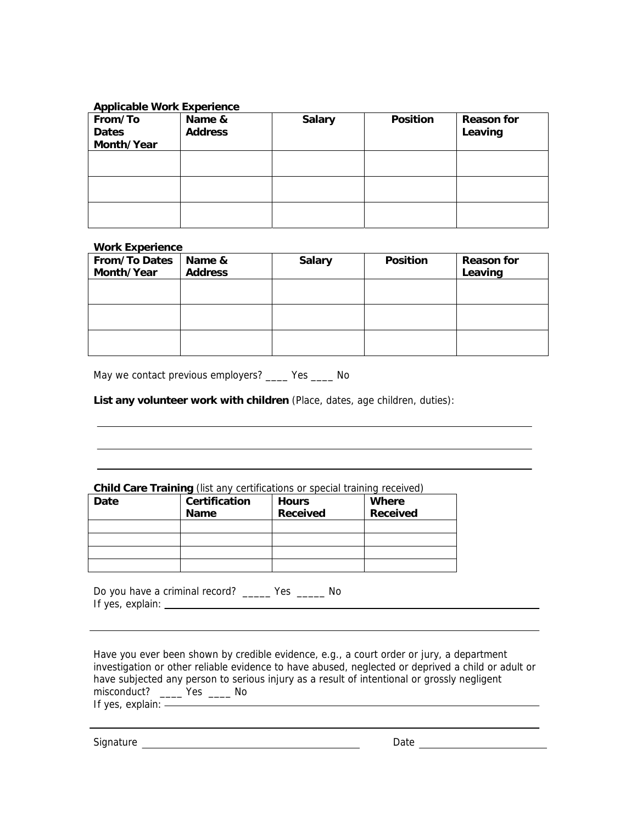## **Applicable Work Experience**

| From/To<br><b>Dates</b><br>Month/Year | Name &<br><b>Address</b> | <b>Salary</b> | <b>Position</b> | <b>Reason for</b><br>Leaving |
|---------------------------------------|--------------------------|---------------|-----------------|------------------------------|
|                                       |                          |               |                 |                              |
|                                       |                          |               |                 |                              |
|                                       |                          |               |                 |                              |

## **Work Experience**

| <b>From/To Dates</b><br>Month/Year | Name &<br><b>Address</b> | <b>Salary</b> | <b>Position</b> | <b>Reason for</b><br>Leaving |
|------------------------------------|--------------------------|---------------|-----------------|------------------------------|
|                                    |                          |               |                 |                              |
|                                    |                          |               |                 |                              |
|                                    |                          |               |                 |                              |

May we contact previous employers? \_\_\_\_ Yes \_\_\_\_ No

**List any volunteer work with children** (Place, dates, age children, duties):

## **Child Care Training** (list any certifications or special training received)

| Date | <b>Certification</b><br><b>Name</b> | <b>Hours</b><br><b>Received</b> | <b>Where</b><br>Received |
|------|-------------------------------------|---------------------------------|--------------------------|
|      |                                     |                                 |                          |
|      |                                     |                                 |                          |
|      |                                     |                                 |                          |
|      |                                     |                                 |                          |

Do you have a criminal record? \_\_\_\_\_ Yes \_\_\_\_\_ No If yes, explain:

Have you ever been shown by credible evidence, e.g., a court order or jury, a department investigation or other reliable evidence to have abused, neglected or deprived a child or adult or have subjected any person to serious injury as a result of intentional or grossly negligent misconduct? \_\_\_\_\_ Yes \_\_\_\_\_ No<br>If yes explain: \_\_\_\_\_\_\_\_\_\_\_\_\_\_\_ No

If yes, explain:

Signature Date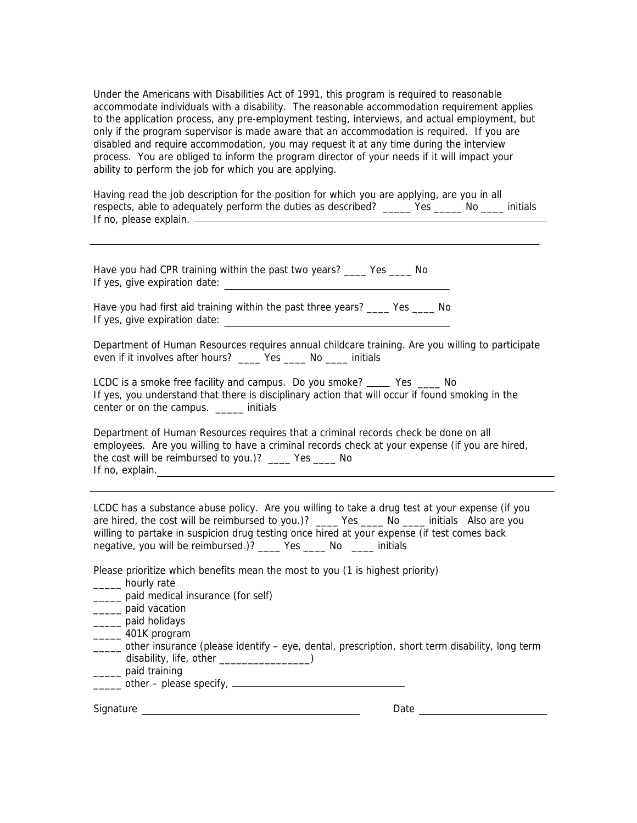Under the Americans with Disabilities Act of 1991, this program is required to reasonable accommodate individuals with a disability. The reasonable accommodation requirement applies to the application process, any pre-employment testing, interviews, and actual employment, but only if the program supervisor is made aware that an accommodation is required. If you are disabled and require accommodation, you may request it at any time during the interview process. You are obliged to inform the program director of your needs if it will impact your ability to perform the job for which you are applying.

Having read the job description for the position for which you are applying, are you in all respects, able to adequately perform the duties as described? The Mo equitials If no, please explain.

Have you had CPR training within the past two years? \_\_\_\_ Yes \_\_\_\_ No If yes, give expiration date:

Have you had first aid training within the past three years? \_\_\_\_ Yes \_\_\_\_ No If yes, give expiration date:

Department of Human Resources requires annual childcare training. Are you willing to participate even if it involves after hours? \_\_\_\_ Yes \_\_\_\_ No \_\_\_\_ initials

LCDC is a smoke free facility and campus. Do you smoke? \_\_\_\_ Yes \_\_\_\_ No If yes, you understand that there is disciplinary action that will occur if found smoking in the center or on the campus. \_\_\_\_\_ initials

Department of Human Resources requires that a criminal records check be done on all employees. Are you willing to have a criminal records check at your expense (if you are hired, the cost will be reimbursed to you.)? \_\_\_\_ Yes \_\_\_\_ No If no, explain.

LCDC has a substance abuse policy. Are you willing to take a drug test at your expense (if you are hired, the cost will be reimbursed to you.)? \_\_\_\_ Yes \_\_\_\_ No \_\_\_\_ initials Also are you willing to partake in suspicion drug testing once hired at your expense (if test comes back negative, you will be reimbursed.)? \_\_\_\_ Yes \_\_\_\_ No \_\_\_\_ initials

Please prioritize which benefits mean the most to you (1 is highest priority)

- \_\_\_\_\_ hourly rate
- \_\_\_\_\_ paid medical insurance (for self)
- \_\_\_\_\_ paid vacation
- \_\_\_\_\_ paid holidays
- \_\_\_\_\_ 401K program
- \_\_\_\_\_ other insurance (please identify eye, dental, prescription, short term disability, long term disability, life, other \_\_\_\_\_\_\_\_\_\_\_\_\_\_\_\_\_\_)
- \_\_\_\_\_ paid training
- $\frac{1}{2}$  other please specify,  $\frac{1}{2}$  other please specify,  $\frac{1}{2}$  other and  $\frac{1}{2}$  or  $\frac{1}{2}$  or  $\frac{1}{2}$  or  $\frac{1}{2}$  or  $\frac{1}{2}$  or  $\frac{1}{2}$  or  $\frac{1}{2}$  or  $\frac{1}{2}$  or  $\frac{1}{2}$  or  $\frac{1}{2}$  or

Signature **Date** Date **Date** Date **Date**